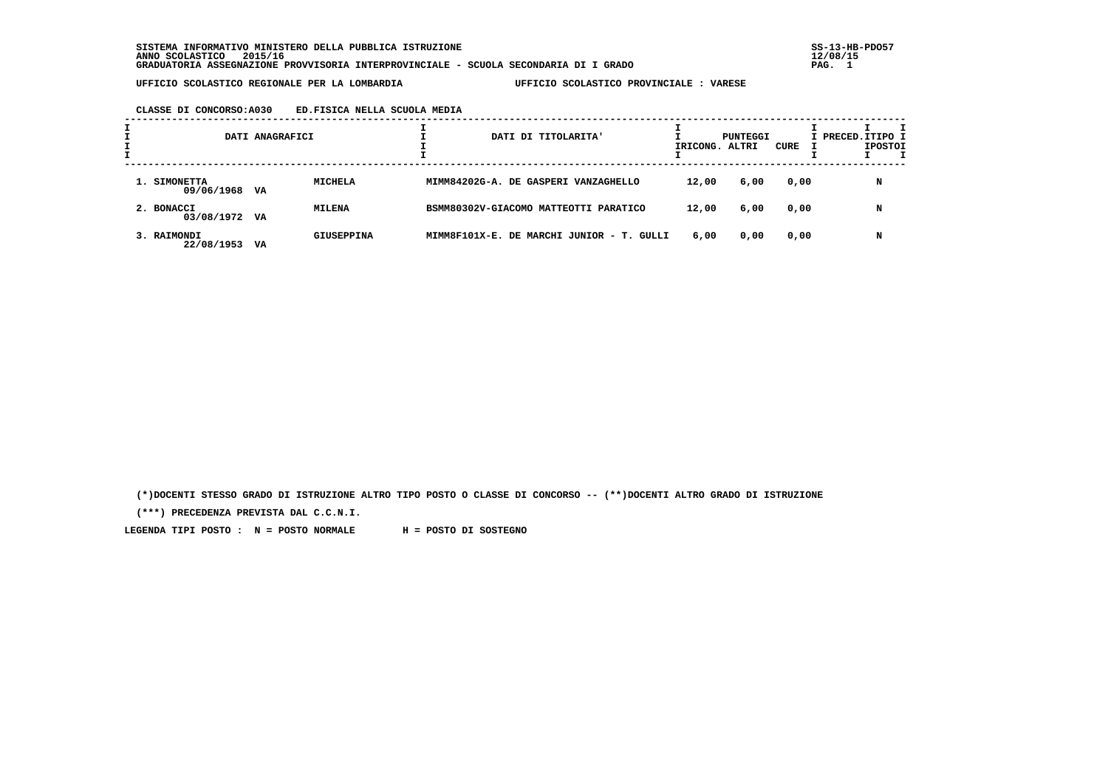**SISTEMA INFORMATIVO MINISTERO DELLA PUBBLICA ISTRUZIONE SS-13-HB-PDO57 ANNO SCOLASTICO 2015/16 12/08/15 GRADUATORIA ASSEGNAZIONE PROVVISORIA INTERPROVINCIALE - SCUOLA SECONDARIA DI I GRADO PAG. 1**

 **UFFICIO SCOLASTICO REGIONALE PER LA LOMBARDIA UFFICIO SCOLASTICO PROVINCIALE : VARESE**

### **CLASSE DI CONCORSO:A030 ED.FISICA NELLA SCUOLA MEDIA**

|                               | DATI ANAGRAFICI |                | DATI DI TITOLARITA'                       | IRICONG. ALTRI | PUNTEGGI | CURE | I PRECED. ITIPO I | <b>IPOSTOI</b> |  |
|-------------------------------|-----------------|----------------|-------------------------------------------|----------------|----------|------|-------------------|----------------|--|
| 1. SIMONETTA<br>09/06/1968 VA |                 | <b>MICHELA</b> | MIMM84202G-A. DE GASPERI VANZAGHELLO      | 12,00          | 6,00     | 0,00 |                   | N              |  |
| 2. BONACCI<br>03/08/1972 VA   |                 | <b>MILENA</b>  | BSMM80302V-GIACOMO MATTEOTTI PARATICO     | 12,00          | 6,00     | 0,00 |                   | N              |  |
| 3. RAIMONDI<br>22/08/1953     | VA              | GIUSEPPINA     | MIMM8F101X-E. DE MARCHI JUNIOR - T. GULLI | 6,00           | 0,00     | 0,00 |                   |                |  |

 **(\*)DOCENTI STESSO GRADO DI ISTRUZIONE ALTRO TIPO POSTO O CLASSE DI CONCORSO -- (\*\*)DOCENTI ALTRO GRADO DI ISTRUZIONE**

 **(\*\*\*) PRECEDENZA PREVISTA DAL C.C.N.I.**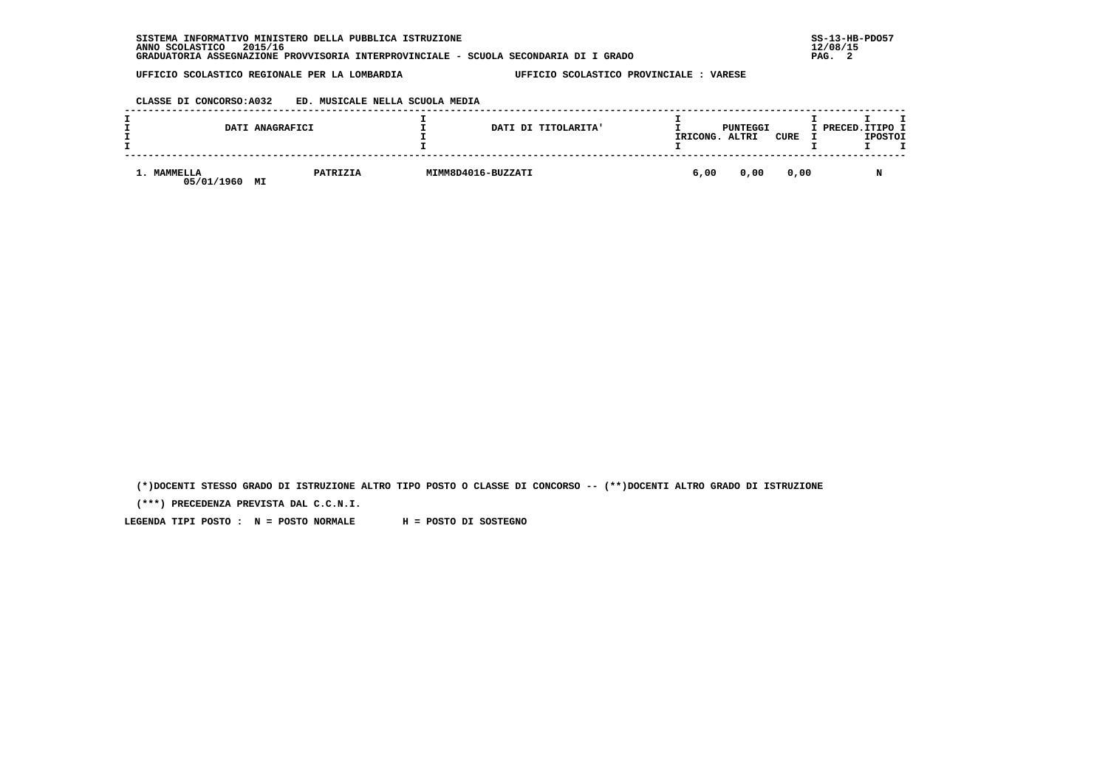| INFORMATIVO MINISTERO DELLA PUBBLICA ISTRUZIONE<br><b>SISTEMA</b>                    | $SS-13-HE$ |
|--------------------------------------------------------------------------------------|------------|
| 2015/16<br>ANNO SCOLASTICO                                                           | 12/08/15   |
| GRADUATORIA ASSEGNAZIONE PROVVISORIA INTERPROVINCIALE - SCUOLA SECONDARIA DI I GRADO | PAG.       |

# **CLASSE DI CONCORSO:A032 ED. MUSICALE NELLA SCUOLA MEDIA**

|                           | DATI ANAGRAFICI | DATI DI TITOLARITA' | IRICONG. | PUNTEGGI<br>ALTRI | CURE | I PRECED.ITIPO I | <b>IPOSTOI</b> |  |
|---------------------------|-----------------|---------------------|----------|-------------------|------|------------------|----------------|--|
| 1. MAMMELLA<br>05/01/1960 | PATRIZIA<br>MI  | MIMM8D4016-BUZZATI  | 6,00     | 0,00              | 0,00 |                  | N              |  |

 **(\*)DOCENTI STESSO GRADO DI ISTRUZIONE ALTRO TIPO POSTO O CLASSE DI CONCORSO -- (\*\*)DOCENTI ALTRO GRADO DI ISTRUZIONE**

 **(\*\*\*) PRECEDENZA PREVISTA DAL C.C.N.I.**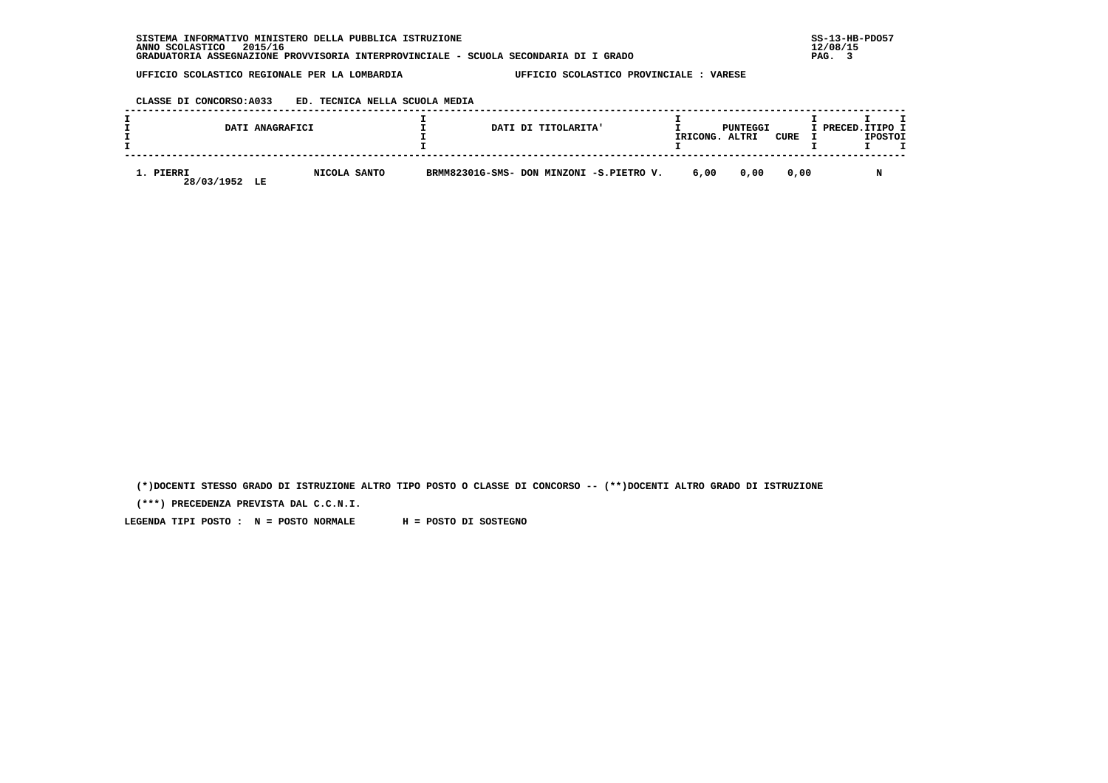#### **CLASSE DI CONCORSO:A033 ED. TECNICA NELLA SCUOLA MEDIA**

|                         | DATI ANAGRAFICI    | DATI DI TITOLARITA'                      | IRICONG. | PUNTEGGI<br>ALTRI | CURE | I PRECED. ITIPO I | <b>IPOSTOI</b> |  |
|-------------------------|--------------------|------------------------------------------|----------|-------------------|------|-------------------|----------------|--|
| 1. PIERRI<br>28/03/1952 | NICOLA SANTO<br>LE | BRMM82301G-SMS- DON MINZONI -S.PIETRO V. | 6,00     | 0.00              | 0.00 |                   |                |  |

 **(\*)DOCENTI STESSO GRADO DI ISTRUZIONE ALTRO TIPO POSTO O CLASSE DI CONCORSO -- (\*\*)DOCENTI ALTRO GRADO DI ISTRUZIONE**

 **(\*\*\*) PRECEDENZA PREVISTA DAL C.C.N.I.**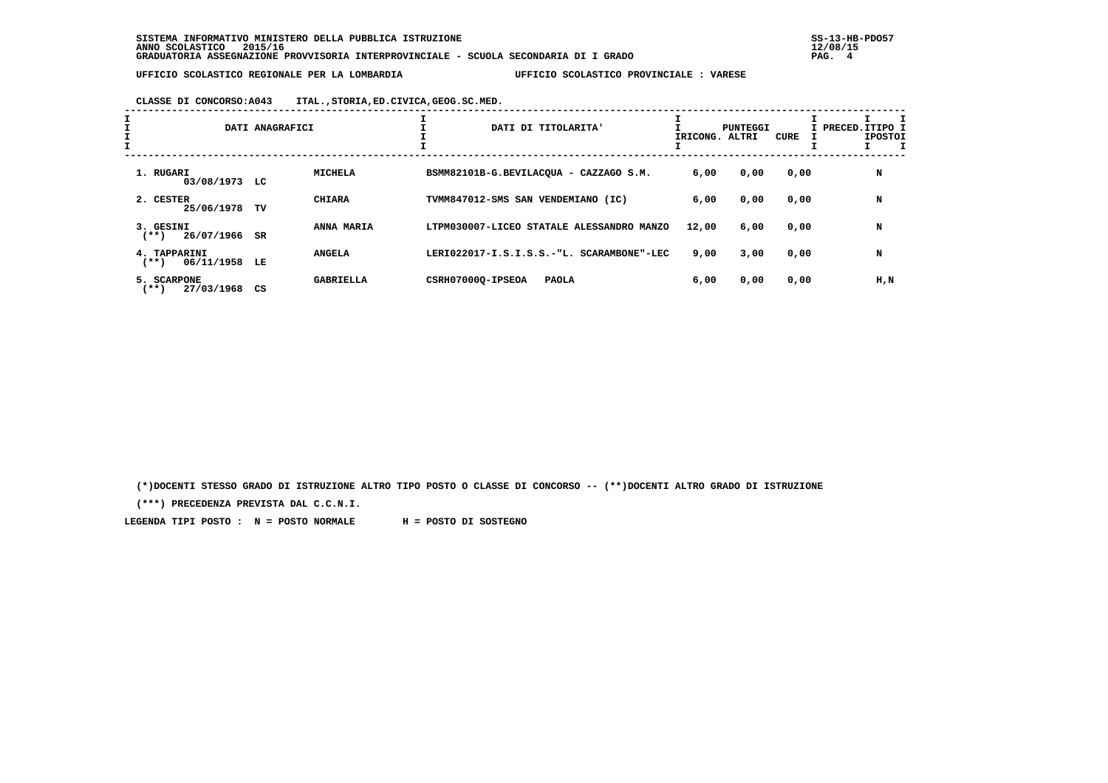**CLASSE DI CONCORSO:A043 ITAL.,STORIA,ED.CIVICA,GEOG.SC.MED.**

| Ŧ.                                       | DATI ANAGRAFICI |                  | ÷. | DATI DI TITOLARITA'                       | IRICONG. ALTRI | PUNTEGGI | CURE | I PRECED.ITIPO I<br><b>IPOSTOI</b> |
|------------------------------------------|-----------------|------------------|----|-------------------------------------------|----------------|----------|------|------------------------------------|
| 1. RUGARI<br>03/08/1973 LC               |                 | MICHELA          |    | BSMM82101B-G.BEVILACOUA - CAZZAGO S.M.    | 6,00           | 0,00     | 0,00 | N                                  |
| 2. CESTER<br>25/06/1978                  | TV              | <b>CHIARA</b>    |    | TVMM847012-SMS SAN VENDEMIANO (IC)        | 6,00           | 0,00     | 0,00 | N                                  |
| 3. GESINI<br>26/07/1966<br>$(***)$       | SR              | ANNA MARIA       |    | LTPM030007-LICEO STATALE ALESSANDRO MANZO | 12,00          | 6,00     | 0,00 | N                                  |
| 4. TAPPARINI<br>06/11/1958 LE<br>$***$ ) |                 | <b>ANGELA</b>    |    | LERI022017-I.S.I.S.S.-"L. SCARAMBONE"-LEC | 9,00           | 3,00     | 0,00 | N                                  |
| 5. SCARPONE<br>27/03/1968<br>$***)$      | CS              | <b>GABRIELLA</b> |    | CSRH070000-IPSEOA<br><b>PAOLA</b>         | 6,00           | 0,00     | 0,00 | H,N                                |

 **(\*)DOCENTI STESSO GRADO DI ISTRUZIONE ALTRO TIPO POSTO O CLASSE DI CONCORSO -- (\*\*)DOCENTI ALTRO GRADO DI ISTRUZIONE**

 **(\*\*\*) PRECEDENZA PREVISTA DAL C.C.N.I.**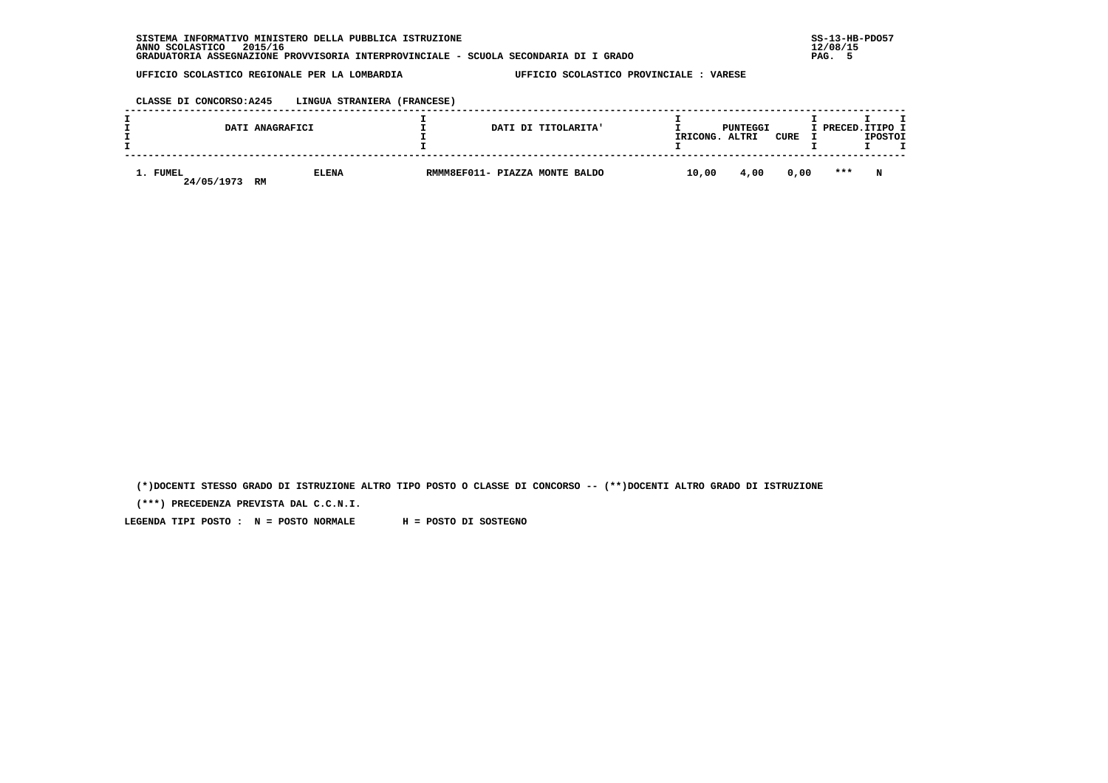| . INFORMATIVO MINISTERO DELLA PUBBLICA ISTRUZIONE<br>SISTEMA                         | $SS-13-HE$ |
|--------------------------------------------------------------------------------------|------------|
| 2015/16<br>ANNO SCOLASTICO                                                           | 12/08/15   |
| GRADUATORIA ASSEGNAZIONE PROVVISORIA INTERPROVINCIALE - SCUOLA SECONDARIA DI I GRADO | PAG.       |

# **CLASSE DI CONCORSO:A245 LINGUA STRANIERA (FRANCESE)**

|                        | DATI ANAGRAFICI    |  | DATI DI TITOLARITA'            | IRICONG. | PUNTEGGI<br>ALTRI | CURE | I PRECED.ITIPO I | <b>IPOSTOI</b> |  |
|------------------------|--------------------|--|--------------------------------|----------|-------------------|------|------------------|----------------|--|
| 1. FUMEL<br>24/05/1973 | <b>ELENA</b><br>RM |  | RMMM8EF011- PIAZZA MONTE BALDO | 10,00    | 4,00              | 0,00 | ***              | N              |  |

 **(\*)DOCENTI STESSO GRADO DI ISTRUZIONE ALTRO TIPO POSTO O CLASSE DI CONCORSO -- (\*\*)DOCENTI ALTRO GRADO DI ISTRUZIONE**

 **(\*\*\*) PRECEDENZA PREVISTA DAL C.C.N.I.**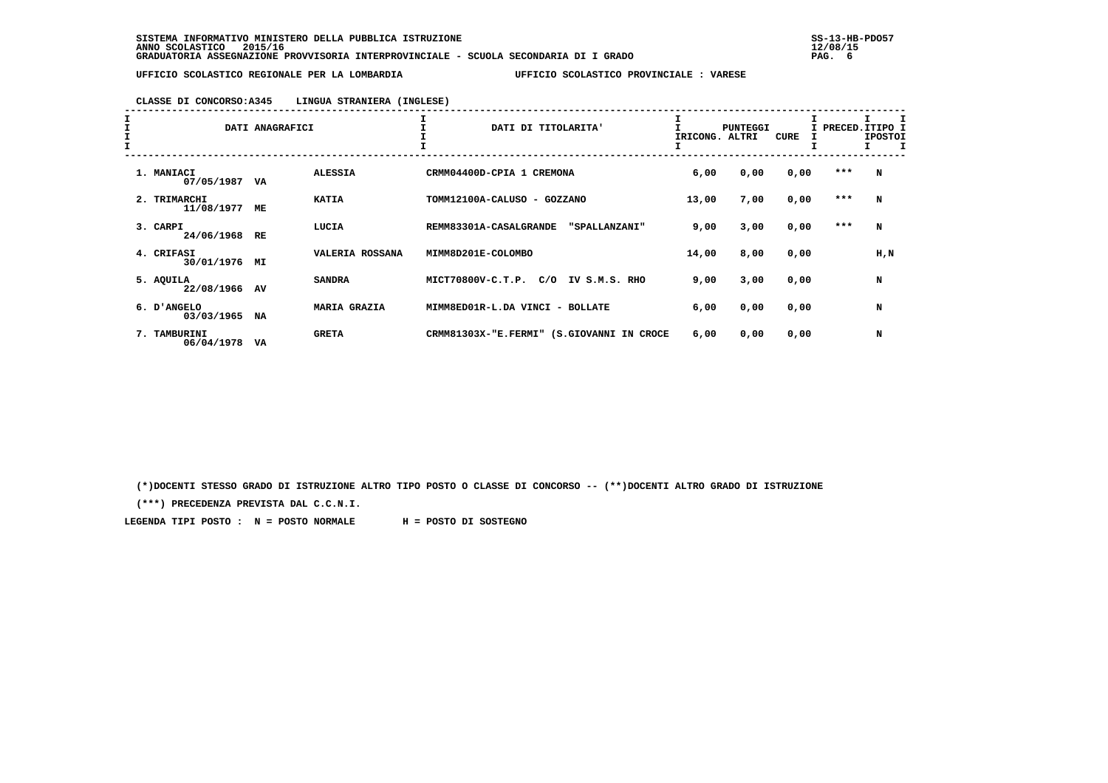#### **CLASSE DI CONCORSO:A345 LINGUA STRANIERA (INGLESE)**

| $\begin{array}{c}\nI \\ I \\ I\n\end{array}$ |                            | DATI ANAGRAFICI |                     | DATI DI TITOLARITA'                          | IRICONG. | <b>PUNTEGGI</b><br>ALTRI | CURE |         | PRECED.ITIPO I<br><b>IPOSTOI</b><br>I.<br>Л |
|----------------------------------------------|----------------------------|-----------------|---------------------|----------------------------------------------|----------|--------------------------|------|---------|---------------------------------------------|
|                                              | 1. MANIACI<br>07/05/1987   | VA              | <b>ALESSIA</b>      | CRMM04400D-CPIA 1 CREMONA                    | 6,00     | 0,00                     | 0,00 | $***$   | N                                           |
|                                              | 2. TRIMARCHI<br>11/08/1977 | МE              | <b>KATIA</b>        | TOMM12100A-CALUSO - GOZZANO                  | 13,00    | 7,00                     | 0,00 | ***     | N                                           |
|                                              | 3. CARPI<br>24/06/1968     | RE              | LUCIA               | REMM83301A-CASALGRANDE<br>"SPALLANZANI"      | 9,00     | 3,00                     | 0,00 | $* * *$ | N                                           |
|                                              | 4. CRIFASI<br>30/01/1976   | MI              | VALERIA ROSSANA     | MIMM8D201E-COLOMBO                           | 14,00    | 8,00                     | 0,00 |         | H,N                                         |
|                                              | 5. AQUILA<br>22/08/1966    | AV              | <b>SANDRA</b>       | MICT70800V-C.T.P.<br>C/O<br>IV S.M.S. RHO    | 9,00     | 3,00                     | 0,00 |         | N                                           |
|                                              | 6. D'ANGELO<br>03/03/1965  | <b>NA</b>       | <b>MARIA GRAZIA</b> | MIMM8ED01R-L.DA VINCI - BOLLATE              | 6,00     | 0,00                     | 0,00 |         | N                                           |
|                                              | 7. TAMBURINI<br>06/04/1978 | VA              | <b>GRETA</b>        | CRMM81303X-"E.FERMI"<br>(S.GIOVANNI IN CROCE | 6,00     | 0,00                     | 0,00 |         | N                                           |

 **(\*)DOCENTI STESSO GRADO DI ISTRUZIONE ALTRO TIPO POSTO O CLASSE DI CONCORSO -- (\*\*)DOCENTI ALTRO GRADO DI ISTRUZIONE**

 **(\*\*\*) PRECEDENZA PREVISTA DAL C.C.N.I.**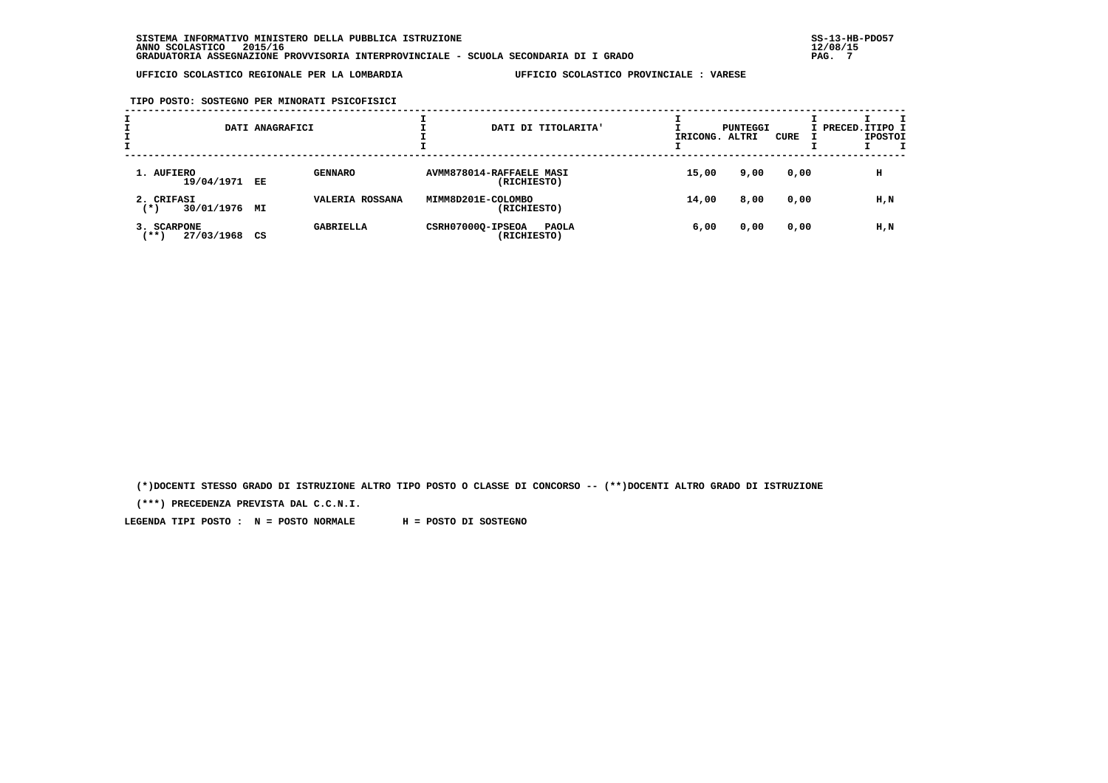**TIPO POSTO: SOSTEGNO PER MINORATI PSICOFISICI**

| ÷ |                                      | DATI ANAGRAFICI |                  |                          |             | DATI DI TITOLARITA' | IRICONG. ALTRI | PUNTEGGI | CURE | I PRECED. ITIPO I | <b>IPOSTOI</b> |  |
|---|--------------------------------------|-----------------|------------------|--------------------------|-------------|---------------------|----------------|----------|------|-------------------|----------------|--|
|   | 1. AUFIERO<br>19/04/1971 EE          |                 | <b>GENNARO</b>   | AVMM878014-RAFFAELE MASI | (RICHIESTO) |                     | 15,00          | 9,00     | 0,00 |                   | н              |  |
|   | 2. CRIFASI<br>30/01/1976 MI<br>( * ) |                 | VALERIA ROSSANA  | MIMM8D201E-COLOMBO       | (RICHIESTO) |                     | 14,00          | 8,00     | 0,00 |                   | H,N            |  |
|   | 3. SCARPONE<br>$***$<br>27/03/1968   | CS              | <b>GABRIELLA</b> | CSRH07000Q-IPSEOA        | (RICHIESTO) | <b>PAOLA</b>        | 6,00           | 0,00     | 0,00 |                   | H,N            |  |

 **(\*)DOCENTI STESSO GRADO DI ISTRUZIONE ALTRO TIPO POSTO O CLASSE DI CONCORSO -- (\*\*)DOCENTI ALTRO GRADO DI ISTRUZIONE**

 **(\*\*\*) PRECEDENZA PREVISTA DAL C.C.N.I.**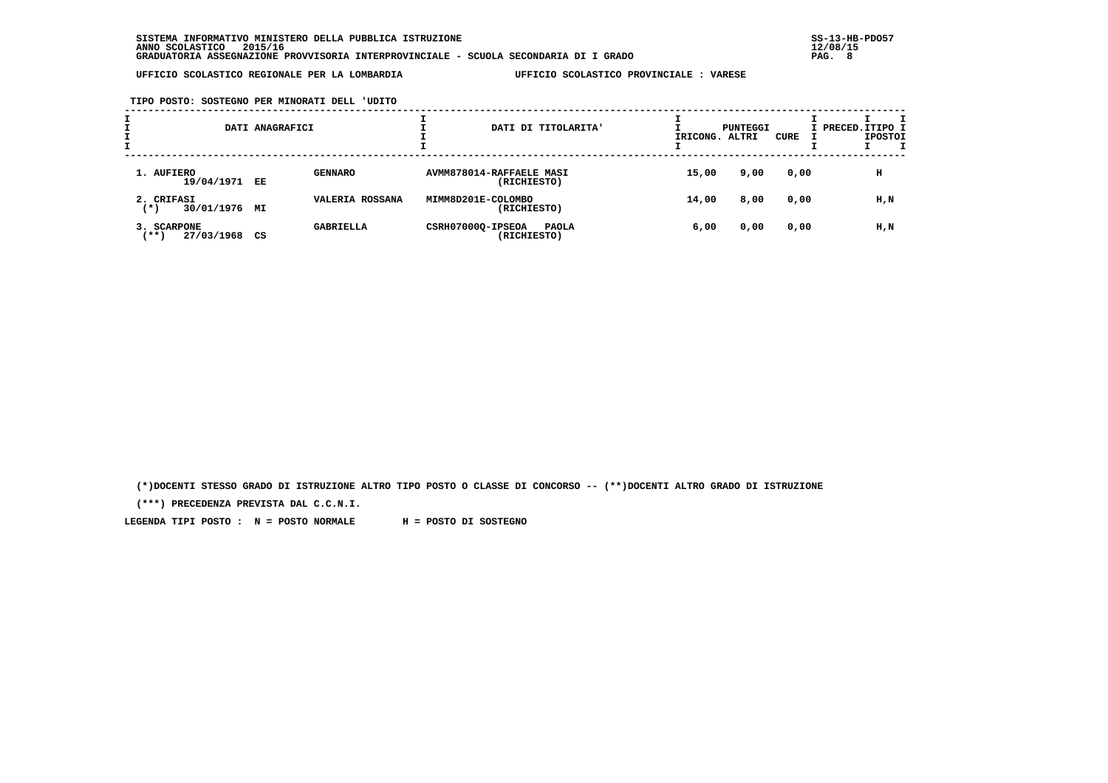**TIPO POSTO: SOSTEGNO PER MINORATI DELL 'UDITO**

| ÷ |                                      | DATI ANAGRAFICI |                  |                          |             | DATI DI TITOLARITA' | IRICONG. ALTRI | PUNTEGGI | CURE | I PRECED. ITIPO I | <b>IPOSTOI</b> |  |
|---|--------------------------------------|-----------------|------------------|--------------------------|-------------|---------------------|----------------|----------|------|-------------------|----------------|--|
|   | 1. AUFIERO<br>19/04/1971 EE          |                 | <b>GENNARO</b>   | AVMM878014-RAFFAELE MASI | (RICHIESTO) |                     | 15,00          | 9,00     | 0,00 |                   | н              |  |
|   | 2. CRIFASI<br>30/01/1976 MI<br>( * ) |                 | VALERIA ROSSANA  | MIMM8D201E-COLOMBO       | (RICHIESTO) |                     | 14,00          | 8,00     | 0,00 |                   | H,N            |  |
|   | 3. SCARPONE<br>$***$<br>27/03/1968   | CS              | <b>GABRIELLA</b> | CSRH07000Q-IPSEOA        | (RICHIESTO) | <b>PAOLA</b>        | 6,00           | 0,00     | 0,00 |                   | H,N            |  |

 **(\*)DOCENTI STESSO GRADO DI ISTRUZIONE ALTRO TIPO POSTO O CLASSE DI CONCORSO -- (\*\*)DOCENTI ALTRO GRADO DI ISTRUZIONE**

 **(\*\*\*) PRECEDENZA PREVISTA DAL C.C.N.I.**